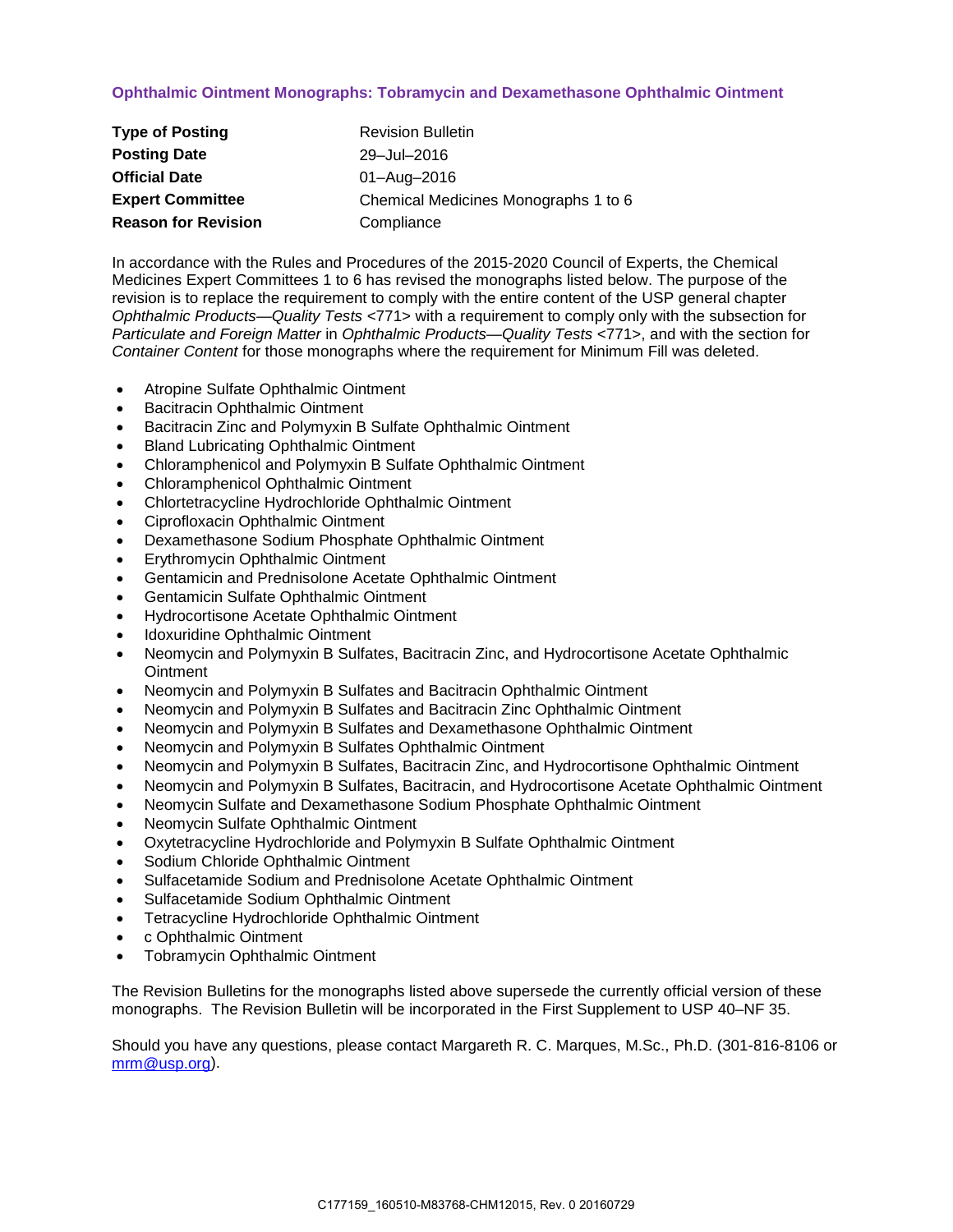# **Ophthalmic Ointment Monographs: Tobramycin and Dexamethasone Ophthalmic Ointment**

| <b>Type of Posting</b>     | <b>Revision Bulletin</b>             |
|----------------------------|--------------------------------------|
| <b>Posting Date</b>        | 29-Jul-2016                          |
| <b>Official Date</b>       | 01-Aug-2016                          |
| <b>Expert Committee</b>    | Chemical Medicines Monographs 1 to 6 |
| <b>Reason for Revision</b> | Compliance                           |

In accordance with the Rules and Procedures of the 2015-2020 Council of Experts, the Chemical Medicines Expert Committees 1 to 6 has revised the monographs listed below. The purpose of the revision is to replace the requirement to comply with the entire content of the USP general chapter *Ophthalmic Products—Quality Tests* <771> with a requirement to comply only with the subsection for *Particulate and Foreign Matter* in *Ophthalmic Products—Quality Tests* <771>, and with the section for *Container Content* for those monographs where the requirement for Minimum Fill was deleted.

- Atropine Sulfate Ophthalmic Ointment
- Bacitracin Ophthalmic Ointment
- Bacitracin Zinc and Polymyxin B Sulfate Ophthalmic Ointment
- Bland Lubricating Ophthalmic Ointment
- Chloramphenicol and Polymyxin B Sulfate Ophthalmic Ointment
- Chloramphenicol Ophthalmic Ointment
- Chlortetracycline Hydrochloride Ophthalmic Ointment
- Ciprofloxacin Ophthalmic Ointment
- Dexamethasone Sodium Phosphate Ophthalmic Ointment
- Erythromycin Ophthalmic Ointment
- Gentamicin and Prednisolone Acetate Ophthalmic Ointment
- Gentamicin Sulfate Ophthalmic Ointment
- Hydrocortisone Acetate Ophthalmic Ointment
- Idoxuridine Ophthalmic Ointment
- Neomycin and Polymyxin B Sulfates, Bacitracin Zinc, and Hydrocortisone Acetate Ophthalmic **Ointment**
- Neomycin and Polymyxin B Sulfates and Bacitracin Ophthalmic Ointment
- Neomycin and Polymyxin B Sulfates and Bacitracin Zinc Ophthalmic Ointment
- Neomycin and Polymyxin B Sulfates and Dexamethasone Ophthalmic Ointment
- Neomycin and Polymyxin B Sulfates Ophthalmic Ointment
- Neomycin and Polymyxin B Sulfates, Bacitracin Zinc, and Hydrocortisone Ophthalmic Ointment
- Neomycin and Polymyxin B Sulfates, Bacitracin, and Hydrocortisone Acetate Ophthalmic Ointment
- Neomycin Sulfate and Dexamethasone Sodium Phosphate Ophthalmic Ointment
- Neomycin Sulfate Ophthalmic Ointment
- Oxytetracycline Hydrochloride and Polymyxin B Sulfate Ophthalmic Ointment
- Sodium Chloride Ophthalmic Ointment
- Sulfacetamide Sodium and Prednisolone Acetate Ophthalmic Ointment
- Sulfacetamide Sodium Ophthalmic Ointment
- Tetracycline Hydrochloride Ophthalmic Ointment
- c Ophthalmic Ointment
- Tobramycin Ophthalmic Ointment

The Revision Bulletins for the monographs listed above supersede the currently official version of these monographs. The Revision Bulletin will be incorporated in the First Supplement to USP 40–NF 35.

Should you have any questions, please contact Margareth R. C. Marques, M.Sc., Ph.D. (301-816-8106 or [mrm@usp.org\)](mailto:mrm@usp.org).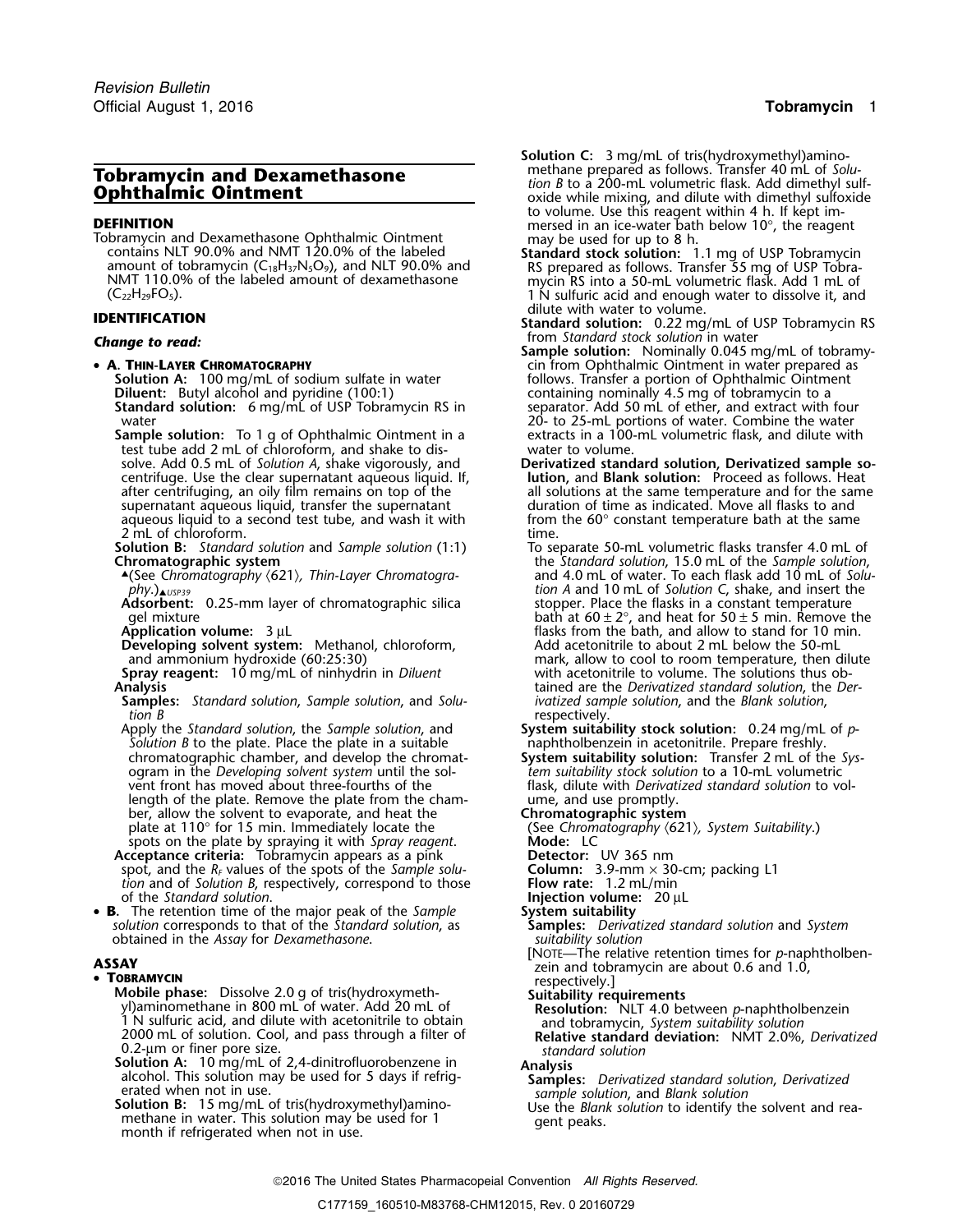**DEFINITION**<br>
Tobramycin and Dexamethasone Ophthalmic Ointment<br>
contains NLT 90.0% and NMT 120.0% of the labeled<br>
amount of tobramycin (C<sub>18</sub>H<sub>37</sub>N<sub>3</sub>O<sub>9</sub>), and NLT 90.0% and<br>
NMT 120.0% of the labeled<br>
amount of dexameth

### • A. THIN-LAYER CHROMATOGRAPHY

**Diluent:** Butyl alcohol and pyridine (100:1) containing nominally 4.5 mg of tobramycin to a **Standard solution:** 6 mg/mL of USP Tobramycin RS in separator. Add 50 mL of ether, and extract with four the sta

**Sample solution:** To 1 g of Ophthalmic Ointment in a lextracts in a 100-mL volumetric flask, and dilute with test tube add 2 mL of chloroform, and shake to dis- water to volume. centrifuge. Use the clear supernatant aqueous liquid. If, after centrifuging, an oily film remains on top of the supernatant aqueous liquid, transfer the supernatant duration of time as indicated. Move all flasks to and aqueous liquid to a second test tube, and wash it with  $\frac{1}{2}$  from the 60° constant temperature bath at the sam aqueous liquid to a second test tube, and wash it with from the 60° constant temperature bath at the 60° consta<br>The same of chloroform. 2 mL of chloroform.

▲(See Chromatography  $(621)$ , Thin-Layer Chromatogra-

**Adsorbent:** 0.25-mm layer of chromatographic silica stopper. Place the flasks in a constant temperature<br>stopper. Place the flasks in a constant temperature<br>bath at  $60 \pm 2^{\circ}$ , and heat for  $50 \pm 5$  min. Remove to

**Developing solvent system:** Methanol, chloroform, and ammonium hydroxide (60:25:30)

**Spray reagent:** 10 mg/mL of ninhydrin in *Diluent*<br>Analysis

**Samples:** *Standard solution, Sample solution, and Solution B tion B* respectively<br>Apply the Standard solution, the Sample solution, and **System suital** 

*Solution B* to the plate. Place the plate in a suitable chromatographic chamber, and develop the chromatogram in the *Developing solvent system* until the solvent front has moved about three-fourths of the length of the plate. Remove the plate from the cham- ume, and use promptly. ber, allow the solvent to evaporate, and heat the plate at 110° for 15 min. Immediately locate the spots on the plate by spraying it with *Spray reagent*. **Mode:** LC **Acceptance criteria:** Tobramycin appears as a pink **Detector:** UV 365 nm

Succeptance criteria: Tobramycin appears as a pink<br>spot, and the *R<sub>F</sub>* values of the spots of the *Sample solu*-<br>tion and of *Solution B*, respectively, correspond to those **Flow rate:** 1.2 mL/min *tion* and of *Solution B*, respectively, correspond to those of the *Standard solution*.

• **B.** The retention time of the major peak of the *Sample* **System suitability** *solution* corresponds to that of the *Standard solution*, as **Samples:** *Derivatized standard solution* and *System* obtained in the *Assay* for *Dexamethasone*. *suitability solution*

## •

**The Suitability requirements**<br>
yl)aminomethane in 800 mL of water. Add 20 mL of **Suitability requirements**<br> **Resolution:** NLT 4.0 between *p*-naphtholbenzein The sulfuric acid, and dilute with acetonitrile to obtain<br>
2000 mL of solution. Cool, and pass through a filter of<br>
2.2-um or finer pore size.<br>
2.2-um or finer pore size.<br>
2.2-um or finer pore size.

0.2-µm or finer pore size.<br>**Solution A:** 10 mg/mL of 2,4-dinitrofluorobenzene in **Solution A:**<sup>10</sup> mg/mL of 2,4-dinitrofluorobenzene in **Analysis** alcohol. This solution may be used for 5 days if refrig- **Samples:** *Derivatized standard solution*, *Derivatized*

**Solution B:** 15 mg/mL of tris(hydroxymethyl)amino-<br>methane in water. This solution may be used for 1 gent peaks.<br>month if refrigerated when not in use.

**Solution C:** 3 mg/mL of tris(hydroxymethyl)amino-<br>methane prepared as follows. Transfer 40 mL of Solu-**Tobramycin and Dexamethasone**<br> **Ophthalmic Ointment**<br> **Ophthalmic Ointment**<br> **Computer Computer Constant And Solution B to a 200-mL volumetric flask.** Add dimethyl sulf-<br>
to volume. Use this reagent within 4 h. If kept im

**IDENTIFICATION**<br>**IDENTIFICATION** Standard solution: 0.22 mg/mL of USP Tobramycin RS

**Change to read: Change to read: Change to read: Change to read: Sample solution**: **Sample solution**: **Nominally 0.045 mg/mL of tobramy-A AEXTERIER CHROMATOGRAPHY** cin from Ophthalmic Ointment in water prepared as<br> **Solution A:** 100 mg/mL of sodium sulfate in water **the solutions** follows. Transfer a portion of Ophthalmic Ointment follows. Transfer a portion of Ophthalmic Ointment<br>containing nominally 4.5 mg of tobramycin to a<br>separator. Add 50 mL of ether, and extract with four water<br>
20- to 25-mL portions of water. Combine the water<br>
20- to 25-mL portions of water. Combine the water of the water of the dilute with<br>
20- to 25-mL portions of water. Combine the water

solve. Add 0.5 mL of *Solution A*, shake vigorously, and **Derivatized standard solution, Derivatized sample so**all solutions at the same temperature and for the same duration of time as indicated. Move all flasks to and

**Solution B:** *Standard solution* and *Sample solution* (1:1) To separate 50-mL volumetric flasks transfer 4.0 mL of the multion, 15.0 mL of the *Sample solution*, 15.0 mL of the *Sample solution*, **Chromatographic system** the *Standard solution*, 15.0 mL of the *Sample solution*, .(See *Chromatography* 〈621〉*, Thin-Layer Chromatogra-* and 4.0 mL of water. To each flask add 10 mL of *Soluphy*.)▲*USP39 tion A* and 10 mL of *Solution C*, shake, and insert the gel mixture **bath at 60**  $\pm$  2°, and heat for 50  $\pm$  5 min. Remove the bath at 60  $\pm$  2°, and heat for 50  $\pm$  5 min. Remove the flasks from the bath, and allow to stand for 10 min. flasks from the bath, and allow to stand for 10 min.<br>Add acetonitrile to about 2 mL below the 50-mL mark, allow to cool to room temperature, then dilute with acetonitrile to volume. The solutions thus obtained are the *Derivatized standard solution*, the *Der-*<br>*ivatized sample solution*, and the *Blank solution*,

System suitability stock solution: 0.24 mg/mL of *p*-<br>naphtholbenzein in acetonitrile. Prepare freshly.

**System suitability solution:** Transfer 2 mL of the *System suitability stock solution* to a 10-mL volumetric flask, dilute with *Derivatized standard solution* to vol-

**Chromatographic system**<br>
(See *Chromatography*  $\langle 621 \rangle$ *, System Suitability.)*<br> **Mode:** LC

**Injection volume:** 20 µL<br>System suitability

[NOTE—The relative retention times for *p*-naphtholben- **ASSAY** zein and tobramycin are about 0.6 and 1.0,

sample solution, and Blank solution<br>Use the Blank solution to identify the solvent and rea-

2016 The United States Pharmacopeial Convention *All Rights Reserved.*